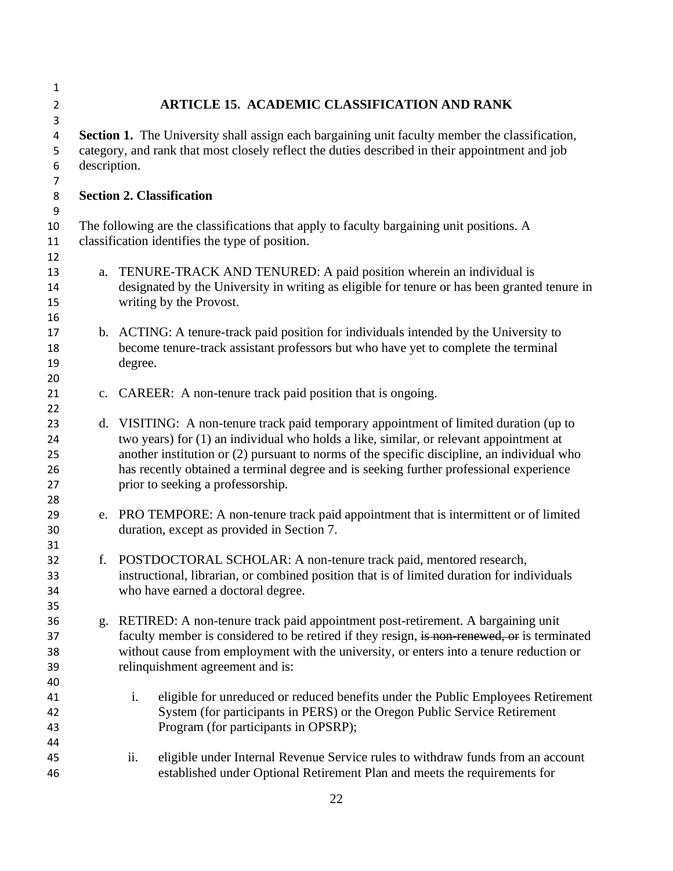| $\mathbf 1$    |                                                                                                |                                                                                              |  |
|----------------|------------------------------------------------------------------------------------------------|----------------------------------------------------------------------------------------------|--|
| $\overline{2}$ |                                                                                                | <b>ARTICLE 15. ACADEMIC CLASSIFICATION AND RANK</b>                                          |  |
| 3              |                                                                                                |                                                                                              |  |
| 4              | Section 1. The University shall assign each bargaining unit faculty member the classification, |                                                                                              |  |
| 5              | category, and rank that most closely reflect the duties described in their appointment and job |                                                                                              |  |
| 6              | description.                                                                                   |                                                                                              |  |
| 7              |                                                                                                |                                                                                              |  |
| 8              |                                                                                                | <b>Section 2. Classification</b>                                                             |  |
| 9              |                                                                                                |                                                                                              |  |
| 10             | The following are the classifications that apply to faculty bargaining unit positions. A       |                                                                                              |  |
| 11             |                                                                                                | classification identifies the type of position.                                              |  |
| 12             |                                                                                                |                                                                                              |  |
| 13             | a.                                                                                             | TENURE-TRACK AND TENURED: A paid position wherein an individual is                           |  |
| 14             |                                                                                                | designated by the University in writing as eligible for tenure or has been granted tenure in |  |
| 15             |                                                                                                | writing by the Provost.                                                                      |  |
| 16<br>17       |                                                                                                | b. ACTING: A tenure-track paid position for individuals intended by the University to        |  |
| 18             |                                                                                                | become tenure-track assistant professors but who have yet to complete the terminal           |  |
| 19             |                                                                                                | degree.                                                                                      |  |
| 20             |                                                                                                |                                                                                              |  |
| 21             |                                                                                                | c. CAREER: A non-tenure track paid position that is ongoing.                                 |  |
| 22             |                                                                                                |                                                                                              |  |
| 23             |                                                                                                | d. VISITING: A non-tenure track paid temporary appointment of limited duration (up to        |  |
| 24             |                                                                                                | two years) for (1) an individual who holds a like, similar, or relevant appointment at       |  |
| 25             |                                                                                                | another institution or (2) pursuant to norms of the specific discipline, an individual who   |  |
| 26             |                                                                                                | has recently obtained a terminal degree and is seeking further professional experience       |  |
| 27             |                                                                                                | prior to seeking a professorship.                                                            |  |
| 28             |                                                                                                |                                                                                              |  |
| 29             |                                                                                                | e. PRO TEMPORE: A non-tenure track paid appointment that is intermittent or of limited       |  |
| 30             |                                                                                                | duration, except as provided in Section 7.                                                   |  |
| 31             |                                                                                                |                                                                                              |  |
| 32             |                                                                                                | f. POSTDOCTORAL SCHOLAR: A non-tenure track paid, mentored research,                         |  |
| 33             |                                                                                                | instructional, librarian, or combined position that is of limited duration for individuals   |  |
| 34             |                                                                                                | who have earned a doctoral degree.                                                           |  |
| 35             |                                                                                                |                                                                                              |  |
| 36             | g.                                                                                             | RETIRED: A non-tenure track paid appointment post-retirement. A bargaining unit              |  |
| 37             |                                                                                                | faculty member is considered to be retired if they resign, is non-renewed, or is terminated  |  |
| 38             |                                                                                                | without cause from employment with the university, or enters into a tenure reduction or      |  |
| 39             |                                                                                                | relinquishment agreement and is:                                                             |  |
| 40             |                                                                                                |                                                                                              |  |
| 41             |                                                                                                | i.<br>eligible for unreduced or reduced benefits under the Public Employees Retirement       |  |
| 42             |                                                                                                | System (for participants in PERS) or the Oregon Public Service Retirement                    |  |
| 43             |                                                                                                | Program (for participants in OPSRP);                                                         |  |
| 44<br>45       |                                                                                                | ii.<br>eligible under Internal Revenue Service rules to withdraw funds from an account       |  |
| 46             |                                                                                                | established under Optional Retirement Plan and meets the requirements for                    |  |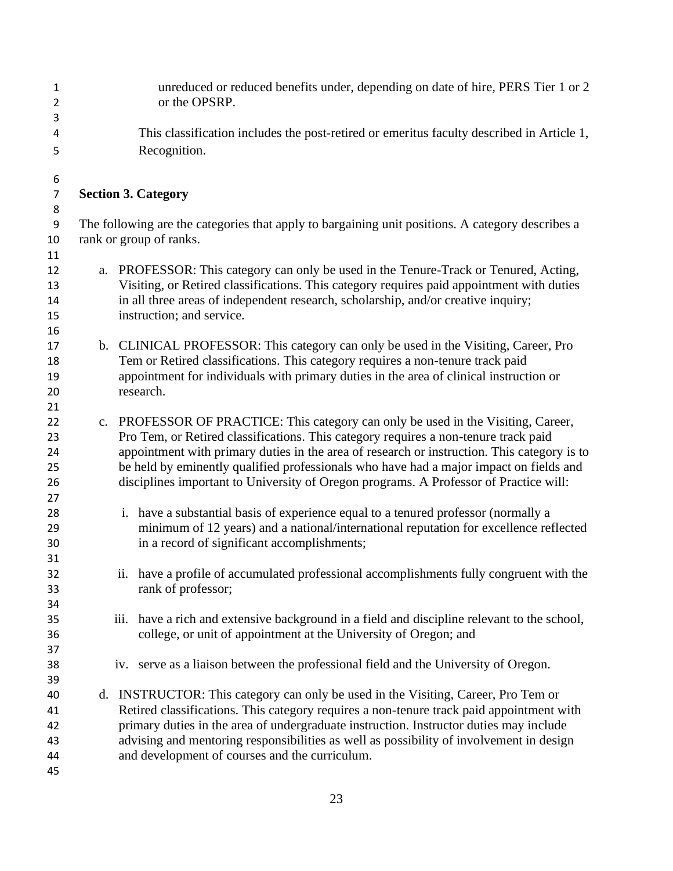| $\mathbf{1}$<br>$\overline{2}$ | unreduced or reduced benefits under, depending on date of hire, PERS Tier 1 or 2<br>or the OPSRP.                                                                                 |
|--------------------------------|-----------------------------------------------------------------------------------------------------------------------------------------------------------------------------------|
| 3                              |                                                                                                                                                                                   |
| 4                              | This classification includes the post-retired or emeritus faculty described in Article 1,                                                                                         |
| 5                              | Recognition.                                                                                                                                                                      |
| 6                              |                                                                                                                                                                                   |
| $\overline{7}$                 | <b>Section 3. Category</b>                                                                                                                                                        |
| 8                              |                                                                                                                                                                                   |
| 9                              | The following are the categories that apply to bargaining unit positions. A category describes a                                                                                  |
| 10                             | rank or group of ranks.                                                                                                                                                           |
| 11                             |                                                                                                                                                                                   |
| 12<br>13                       | a. PROFESSOR: This category can only be used in the Tenure-Track or Tenured, Acting,<br>Visiting, or Retired classifications. This category requires paid appointment with duties |
| 14<br>15                       | in all three areas of independent research, scholarship, and/or creative inquiry;<br>instruction; and service.                                                                    |
| 16                             |                                                                                                                                                                                   |
| 17                             | b. CLINICAL PROFESSOR: This category can only be used in the Visiting, Career, Pro                                                                                                |
| 18                             | Tem or Retired classifications. This category requires a non-tenure track paid                                                                                                    |
| 19                             | appointment for individuals with primary duties in the area of clinical instruction or                                                                                            |
| 20                             | research.                                                                                                                                                                         |
| 21                             |                                                                                                                                                                                   |
| 22                             | c. PROFESSOR OF PRACTICE: This category can only be used in the Visiting, Career,                                                                                                 |
| 23                             | Pro Tem, or Retired classifications. This category requires a non-tenure track paid                                                                                               |
| 24                             | appointment with primary duties in the area of research or instruction. This category is to                                                                                       |
| 25                             | be held by eminently qualified professionals who have had a major impact on fields and                                                                                            |
| 26                             | disciplines important to University of Oregon programs. A Professor of Practice will:                                                                                             |
| 27                             |                                                                                                                                                                                   |
| 28                             | i. have a substantial basis of experience equal to a tenured professor (normally a                                                                                                |
| 29<br>30                       | minimum of 12 years) and a national/international reputation for excellence reflected<br>in a record of significant accomplishments;                                              |
| 31                             |                                                                                                                                                                                   |
| 32                             | ii. have a profile of accumulated professional accomplishments fully congruent with the                                                                                           |
| 33                             | rank of professor;                                                                                                                                                                |
| 34                             |                                                                                                                                                                                   |
| 35                             | have a rich and extensive background in a field and discipline relevant to the school,<br>iii.                                                                                    |
| 36                             | college, or unit of appointment at the University of Oregon; and                                                                                                                  |
| 37                             |                                                                                                                                                                                   |
| 38                             | iv. serve as a liaison between the professional field and the University of Oregon.                                                                                               |
| 39                             |                                                                                                                                                                                   |
| 40                             | d. INSTRUCTOR: This category can only be used in the Visiting, Career, Pro Tem or                                                                                                 |
| 41                             | Retired classifications. This category requires a non-tenure track paid appointment with                                                                                          |
| 42                             | primary duties in the area of undergraduate instruction. Instructor duties may include                                                                                            |
| 43                             | advising and mentoring responsibilities as well as possibility of involvement in design                                                                                           |
| 44                             | and development of courses and the curriculum.                                                                                                                                    |
| 45                             |                                                                                                                                                                                   |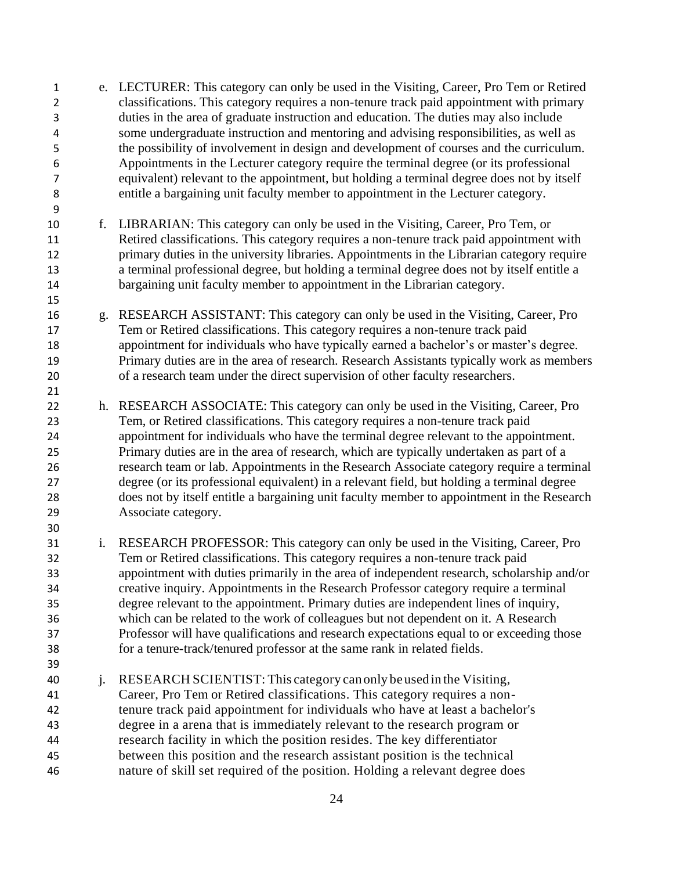e. LECTURER: This category can only be used in the Visiting, Career, Pro Tem or Retired classifications. This category requires a non-tenure track paid appointment with primary duties in the area of graduate instruction and education. The duties may also include some undergraduate instruction and mentoring and advising responsibilities, as well as the possibility of involvement in design and development of courses and the curriculum. Appointments in the Lecturer category require the terminal degree (or its professional equivalent) relevant to the appointment, but holding a terminal degree does not by itself entitle a bargaining unit faculty member to appointment in the Lecturer category. f. LIBRARIAN: This category can only be used in the Visiting, Career, Pro Tem, or Retired classifications. This category requires a non-tenure track paid appointment with primary duties in the university libraries. Appointments in the Librarian category require a terminal professional degree, but holding a terminal degree does not by itself entitle a 14 bargaining unit faculty member to appointment in the Librarian category. g. RESEARCH ASSISTANT: This category can only be used in the Visiting, Career, Pro Tem or Retired classifications. This category requires a non-tenure track paid appointment for individuals who have typically earned a bachelor's or master's degree. Primary duties are in the area of research. Research Assistants typically work as members of a research team under the direct supervision of other faculty researchers. h. RESEARCH ASSOCIATE: This category can only be used in the Visiting, Career, Pro Tem, or Retired classifications. This category requires a non-tenure track paid appointment for individuals who have the terminal degree relevant to the appointment. Primary duties are in the area of research, which are typically undertaken as part of a research team or lab. Appointments in the Research Associate category require a terminal degree (or its professional equivalent) in a relevant field, but holding a terminal degree does not by itself entitle a bargaining unit faculty member to appointment in the Research Associate category. i. RESEARCH PROFESSOR: This category can only be used in the Visiting, Career, Pro Tem or Retired classifications. This category requires a non-tenure track paid appointment with duties primarily in the area of independent research, scholarship and/or creative inquiry. Appointments in the Research Professor category require a terminal degree relevant to the appointment. Primary duties are independent lines of inquiry, which can be related to the work of colleagues but not dependent on it. A Research Professor will have qualifications and research expectations equal to or exceeding those for a tenure-track/tenured professor at the same rank in related fields. j. RESEARCH SCIENTIST: This category can only beused in the Visiting, Career, Pro Tem or Retired classifications. This category requires a non- tenure track paid appointment for individuals who have at least a bachelor's degree in a arena that is immediately relevant to the research program or research facility in which the position resides. The key differentiator between this position and the research assistant position is the technical nature of skill set required of the position. Holding a relevant degree does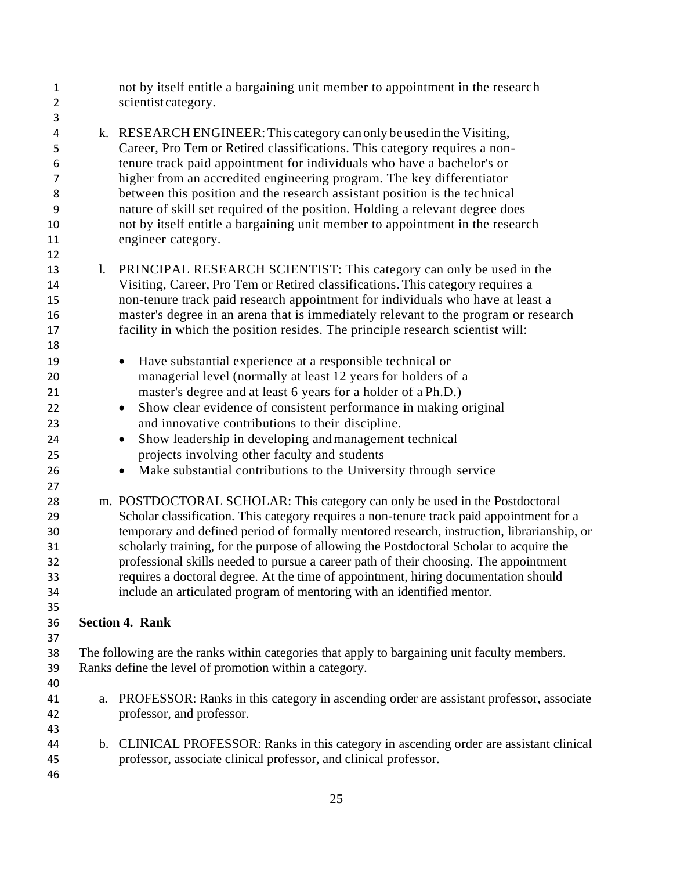| $\mathbf{1}$<br>$\overline{2}$ |    | not by itself entitle a bargaining unit member to appointment in the research<br>scientist category. |
|--------------------------------|----|------------------------------------------------------------------------------------------------------|
| 3                              |    |                                                                                                      |
| 4                              |    | k. RESEARCH ENGINEER: This category can only be used in the Visiting,                                |
| 5                              |    | Career, Pro Tem or Retired classifications. This category requires a non-                            |
| 6                              |    | tenure track paid appointment for individuals who have a bachelor's or                               |
| $\overline{7}$                 |    | higher from an accredited engineering program. The key differentiator                                |
| 8                              |    | between this position and the research assistant position is the technical                           |
| 9                              |    | nature of skill set required of the position. Holding a relevant degree does                         |
| 10                             |    | not by itself entitle a bargaining unit member to appointment in the research                        |
| 11                             |    | engineer category.                                                                                   |
| 12                             |    |                                                                                                      |
| 13                             | 1. | PRINCIPAL RESEARCH SCIENTIST: This category can only be used in the                                  |
| 14                             |    | Visiting, Career, Pro Tem or Retired classifications. This category requires a                       |
| 15                             |    | non-tenure track paid research appointment for individuals who have at least a                       |
| 16                             |    | master's degree in an arena that is immediately relevant to the program or research                  |
| 17                             |    | facility in which the position resides. The principle research scientist will:                       |
| 18                             |    |                                                                                                      |
| 19                             |    | Have substantial experience at a responsible technical or<br>$\bullet$                               |
| 20                             |    | managerial level (normally at least 12 years for holders of a                                        |
| 21                             |    | master's degree and at least 6 years for a holder of a Ph.D.)                                        |
|                                |    |                                                                                                      |
| 22                             |    | Show clear evidence of consistent performance in making original<br>$\bullet$                        |
| 23                             |    | and innovative contributions to their discipline.                                                    |
| 24                             |    | Show leadership in developing and management technical<br>$\bullet$                                  |
| 25                             |    | projects involving other faculty and students                                                        |
| 26                             |    | Make substantial contributions to the University through service<br>$\bullet$                        |
| 27                             |    |                                                                                                      |
| 28                             |    | m. POSTDOCTORAL SCHOLAR: This category can only be used in the Postdoctoral                          |
| 29                             |    | Scholar classification. This category requires a non-tenure track paid appointment for a             |
| 30                             |    | temporary and defined period of formally mentored research, instruction, librarianship, or           |
| 31                             |    | scholarly training, for the purpose of allowing the Postdoctoral Scholar to acquire the              |
| 32                             |    | professional skills needed to pursue a career path of their choosing. The appointment                |
| 33                             |    | requires a doctoral degree. At the time of appointment, hiring documentation should                  |
| 34                             |    | include an articulated program of mentoring with an identified mentor.                               |
| 35                             |    |                                                                                                      |
| 36                             |    | <b>Section 4. Rank</b>                                                                               |
| 37                             |    |                                                                                                      |
| 38                             |    | The following are the ranks within categories that apply to bargaining unit faculty members.         |
| 39                             |    | Ranks define the level of promotion within a category.                                               |
| 40                             |    |                                                                                                      |
| 41                             | a. | PROFESSOR: Ranks in this category in ascending order are assistant professor, associate              |
| 42                             |    | professor, and professor.                                                                            |
| 43                             |    |                                                                                                      |
| 44                             |    | b. CLINICAL PROFESSOR: Ranks in this category in ascending order are assistant clinical              |
| 45                             |    | professor, associate clinical professor, and clinical professor.                                     |
| 46                             |    |                                                                                                      |
|                                |    |                                                                                                      |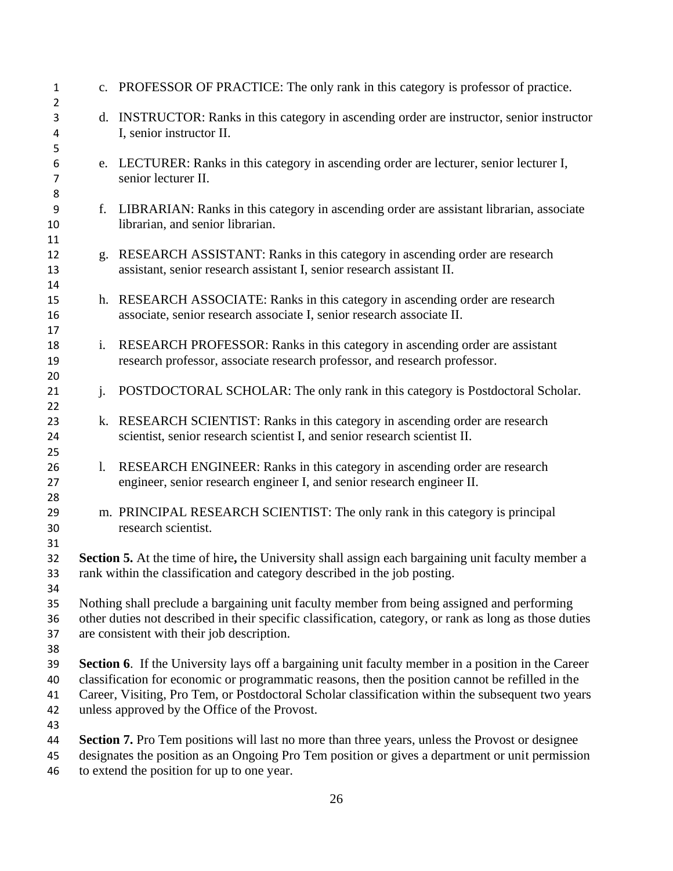| $\mathbf{1}$               |                                                                                                                                                                                                                                                                                                                                                              | c. PROFESSOR OF PRACTICE: The only rank in this category is professor of practice.                                                                                                                        |  |
|----------------------------|--------------------------------------------------------------------------------------------------------------------------------------------------------------------------------------------------------------------------------------------------------------------------------------------------------------------------------------------------------------|-----------------------------------------------------------------------------------------------------------------------------------------------------------------------------------------------------------|--|
| $\overline{2}$<br>3<br>4   |                                                                                                                                                                                                                                                                                                                                                              | d. INSTRUCTOR: Ranks in this category in ascending order are instructor, senior instructor<br>I, senior instructor II.                                                                                    |  |
| 5<br>6<br>7                |                                                                                                                                                                                                                                                                                                                                                              | e. LECTURER: Ranks in this category in ascending order are lecturer, senior lecturer I,<br>senior lecturer II.                                                                                            |  |
| 8<br>9<br>10               | f.                                                                                                                                                                                                                                                                                                                                                           | LIBRARIAN: Ranks in this category in ascending order are assistant librarian, associate<br>librarian, and senior librarian.                                                                               |  |
| 11<br>12<br>13             |                                                                                                                                                                                                                                                                                                                                                              | g. RESEARCH ASSISTANT: Ranks in this category in ascending order are research<br>assistant, senior research assistant I, senior research assistant II.                                                    |  |
| 14<br>15<br>16             |                                                                                                                                                                                                                                                                                                                                                              | h. RESEARCH ASSOCIATE: Ranks in this category in ascending order are research<br>associate, senior research associate I, senior research associate II.                                                    |  |
| 17<br>18<br>19             | i.                                                                                                                                                                                                                                                                                                                                                           | RESEARCH PROFESSOR: Ranks in this category in ascending order are assistant<br>research professor, associate research professor, and research professor.                                                  |  |
| 20<br>21<br>22             | $\mathbf{i}$ .                                                                                                                                                                                                                                                                                                                                               | POSTDOCTORAL SCHOLAR: The only rank in this category is Postdoctoral Scholar.                                                                                                                             |  |
| 23<br>24<br>25             |                                                                                                                                                                                                                                                                                                                                                              | k. RESEARCH SCIENTIST: Ranks in this category in ascending order are research<br>scientist, senior research scientist I, and senior research scientist II.                                                |  |
| 26<br>27                   | $\mathbf{l}$ .                                                                                                                                                                                                                                                                                                                                               | RESEARCH ENGINEER: Ranks in this category in ascending order are research<br>engineer, senior research engineer I, and senior research engineer II.                                                       |  |
| 28<br>29<br>30             |                                                                                                                                                                                                                                                                                                                                                              | m. PRINCIPAL RESEARCH SCIENTIST: The only rank in this category is principal<br>research scientist.                                                                                                       |  |
| 31<br>32<br>33             |                                                                                                                                                                                                                                                                                                                                                              | Section 5. At the time of hire, the University shall assign each bargaining unit faculty member a<br>rank within the classification and category described in the job posting.                            |  |
| 34<br>35<br>36<br>37       | Nothing shall preclude a bargaining unit faculty member from being assigned and performing<br>other duties not described in their specific classification, category, or rank as long as those duties<br>are consistent with their job description.                                                                                                           |                                                                                                                                                                                                           |  |
| 38<br>39<br>40<br>41<br>42 | Section 6. If the University lays off a bargaining unit faculty member in a position in the Career<br>classification for economic or programmatic reasons, then the position cannot be refilled in the<br>Career, Visiting, Pro Tem, or Postdoctoral Scholar classification within the subsequent two years<br>unless approved by the Office of the Provost. |                                                                                                                                                                                                           |  |
| 43<br>44<br>45             |                                                                                                                                                                                                                                                                                                                                                              | <b>Section 7.</b> Pro Tem positions will last no more than three years, unless the Provost or designee<br>designates the position as an Ongoing Pro Tem position or gives a department or unit permission |  |

to extend the position for up to one year.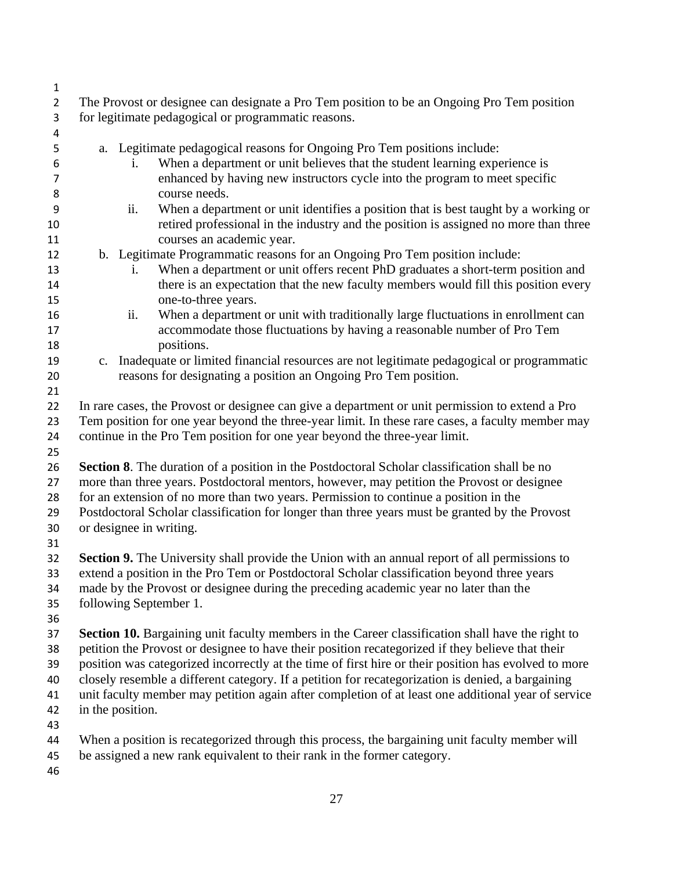| 1                   |                                                                                                                                                   |  |  |  |  |  |
|---------------------|---------------------------------------------------------------------------------------------------------------------------------------------------|--|--|--|--|--|
| $\overline{2}$<br>3 | The Provost or designee can designate a Pro Tem position to be an Ongoing Pro Tem position<br>for legitimate pedagogical or programmatic reasons. |  |  |  |  |  |
| 4                   |                                                                                                                                                   |  |  |  |  |  |
| 5                   | a. Legitimate pedagogical reasons for Ongoing Pro Tem positions include:                                                                          |  |  |  |  |  |
| 6                   | When a department or unit believes that the student learning experience is<br>i.                                                                  |  |  |  |  |  |
| 7                   | enhanced by having new instructors cycle into the program to meet specific                                                                        |  |  |  |  |  |
| 8                   | course needs.                                                                                                                                     |  |  |  |  |  |
| 9                   | When a department or unit identifies a position that is best taught by a working or<br>ii.                                                        |  |  |  |  |  |
| 10                  | retired professional in the industry and the position is assigned no more than three                                                              |  |  |  |  |  |
| 11                  | courses an academic year.                                                                                                                         |  |  |  |  |  |
| 12                  | b. Legitimate Programmatic reasons for an Ongoing Pro Tem position include:                                                                       |  |  |  |  |  |
| 13                  | When a department or unit offers recent PhD graduates a short-term position and<br>i.                                                             |  |  |  |  |  |
| 14                  | there is an expectation that the new faculty members would fill this position every                                                               |  |  |  |  |  |
| 15                  | one-to-three years.                                                                                                                               |  |  |  |  |  |
| 16                  | When a department or unit with traditionally large fluctuations in enrollment can<br>ii.                                                          |  |  |  |  |  |
| 17                  | accommodate those fluctuations by having a reasonable number of Pro Tem                                                                           |  |  |  |  |  |
| 18                  | positions.                                                                                                                                        |  |  |  |  |  |
| 19                  | Inadequate or limited financial resources are not legitimate pedagogical or programmatic<br>c.                                                    |  |  |  |  |  |
| 20                  | reasons for designating a position an Ongoing Pro Tem position.                                                                                   |  |  |  |  |  |
| 21                  |                                                                                                                                                   |  |  |  |  |  |
| 22                  | In rare cases, the Provost or designee can give a department or unit permission to extend a Pro                                                   |  |  |  |  |  |
| 23                  | Tem position for one year beyond the three-year limit. In these rare cases, a faculty member may                                                  |  |  |  |  |  |
| 24                  | continue in the Pro Tem position for one year beyond the three-year limit.                                                                        |  |  |  |  |  |
| 25                  |                                                                                                                                                   |  |  |  |  |  |
| 26                  | Section 8. The duration of a position in the Postdoctoral Scholar classification shall be no                                                      |  |  |  |  |  |
| 27                  | more than three years. Postdoctoral mentors, however, may petition the Provost or designee                                                        |  |  |  |  |  |
| 28                  | for an extension of no more than two years. Permission to continue a position in the                                                              |  |  |  |  |  |
| 29                  | Postdoctoral Scholar classification for longer than three years must be granted by the Provost                                                    |  |  |  |  |  |
| 30                  | or designee in writing.                                                                                                                           |  |  |  |  |  |
| 31                  |                                                                                                                                                   |  |  |  |  |  |
| 32                  | Section 9. The University shall provide the Union with an annual report of all permissions to                                                     |  |  |  |  |  |
| 33                  | extend a position in the Pro Tem or Postdoctoral Scholar classification beyond three years                                                        |  |  |  |  |  |
| 34                  | made by the Provost or designee during the preceding academic year no later than the                                                              |  |  |  |  |  |
| 35                  | following September 1.                                                                                                                            |  |  |  |  |  |
| 36                  |                                                                                                                                                   |  |  |  |  |  |
| 37                  | <b>Section 10.</b> Bargaining unit faculty members in the Career classification shall have the right to                                           |  |  |  |  |  |
| 38                  | petition the Provost or designee to have their position recategorized if they believe that their                                                  |  |  |  |  |  |
| 39                  | position was categorized incorrectly at the time of first hire or their position has evolved to more                                              |  |  |  |  |  |
| 40                  | closely resemble a different category. If a petition for recategorization is denied, a bargaining                                                 |  |  |  |  |  |
| 41                  | unit faculty member may petition again after completion of at least one additional year of service                                                |  |  |  |  |  |
| 42                  | in the position.                                                                                                                                  |  |  |  |  |  |
| 43                  |                                                                                                                                                   |  |  |  |  |  |
| 44                  | When a position is recategorized through this process, the bargaining unit faculty member will                                                    |  |  |  |  |  |
| 45                  | be assigned a new rank equivalent to their rank in the former category.                                                                           |  |  |  |  |  |
| 46                  |                                                                                                                                                   |  |  |  |  |  |